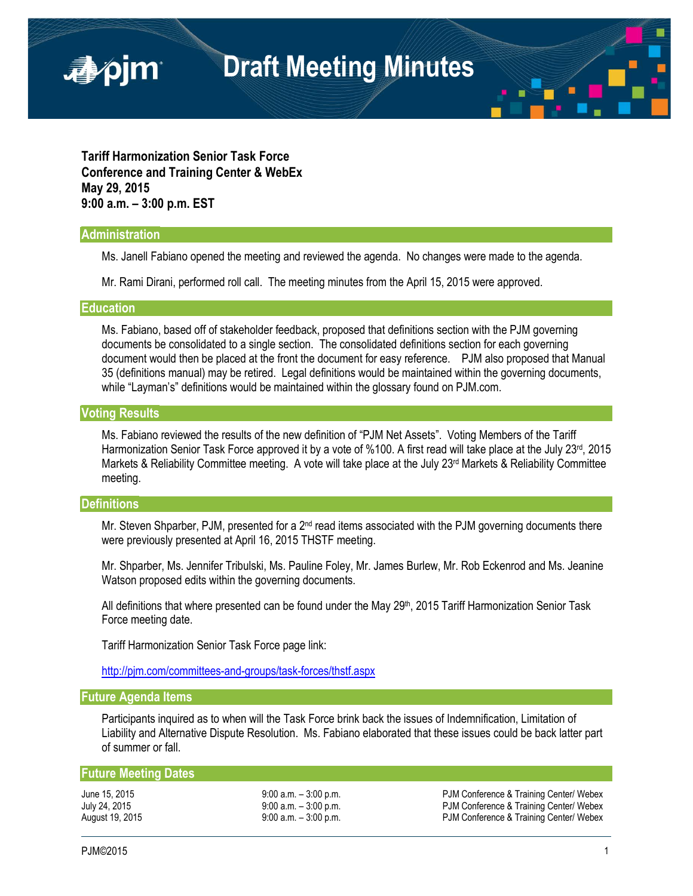**Tariff Harmonization Senior Task Force Conference and Training Center & WebEx May 29, 2015 9:00 a.m. – 3:00 p.m. EST**

#### **Administration**

■pjm

Ms. Janell Fabiano opened the meeting and reviewed the agenda. No changes were made to the agenda.

Mr. Rami Dirani, performed roll call. The meeting minutes from the April 15, 2015 were approved.

## **Education**

Ms. Fabiano, based off of stakeholder feedback, proposed that definitions section with the PJM governing documents be consolidated to a single section. The consolidated definitions section for each governing document would then be placed at the front the document for easy reference. PJM also proposed that Manual 35 (definitions manual) may be retired. Legal definitions would be maintained within the governing documents, while "Layman's" definitions would be maintained within the glossary found on PJM.com.

#### **Voting Results**

Ms. Fabiano reviewed the results of the new definition of "PJM Net Assets". Voting Members of the Tariff Harmonization Senior Task Force approved it by a vote of %100. A first read will take place at the July 23<sup>rd</sup>, 2015 Markets & Reliability Committee meeting. A vote will take place at the July  $23<sup>rd</sup>$  Markets & Reliability Committee meeting.

#### **Definitions**

Mr. Steven Shparber, PJM, presented for a  $2<sup>nd</sup>$  read items associated with the PJM governing documents there were previously presented at April 16, 2015 THSTF meeting.

Mr. Shparber, Ms. Jennifer Tribulski, Ms. Pauline Foley, Mr. James Burlew, Mr. Rob Eckenrod and Ms. Jeanine Watson proposed edits within the governing documents.

All definitions that where presented can be found under the May 29<sup>th</sup>, 2015 Tariff Harmonization Senior Task Force meeting date.

Tariff Harmonization Senior Task Force page link:

<http://pjm.com/committees-and-groups/task-forces/thstf.aspx>

# **Future Agenda Items**

Participants inquired as to when will the Task Force brink back the issues of Indemnification, Limitation of Liability and Alternative Dispute Resolution. Ms. Fabiano elaborated that these issues could be back latter part of summer or fall.

## **Future Meeting Dates**

June 15, 2015 9:00 a.m. – 3:00 p.m. PJM Conference & Training Center/ Webex July 24, 2015 **9:00 a.m. – 3:00 p.m.** PJM Conference & Training Center/ Webex August 19, 2015 **19:00 a.m. – 3:00 p.m.** PJM Conference & Training Center/ Webex